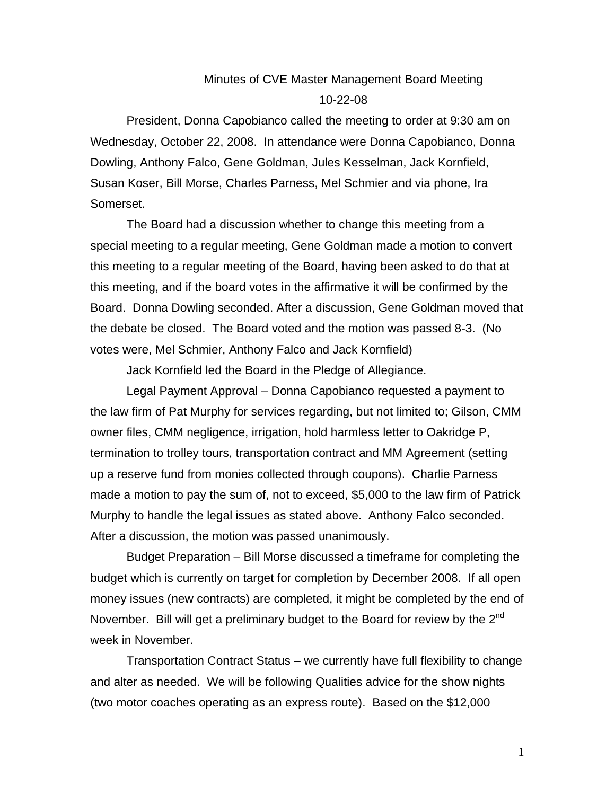## Minutes of CVE Master Management Board Meeting 10-22-08

President, Donna Capobianco called the meeting to order at 9:30 am on Wednesday, October 22, 2008. In attendance were Donna Capobianco, Donna Dowling, Anthony Falco, Gene Goldman, Jules Kesselman, Jack Kornfield, Susan Koser, Bill Morse, Charles Parness, Mel Schmier and via phone, Ira Somerset.

The Board had a discussion whether to change this meeting from a special meeting to a regular meeting, Gene Goldman made a motion to convert this meeting to a regular meeting of the Board, having been asked to do that at this meeting, and if the board votes in the affirmative it will be confirmed by the Board. Donna Dowling seconded. After a discussion, Gene Goldman moved that the debate be closed. The Board voted and the motion was passed 8-3. (No votes were, Mel Schmier, Anthony Falco and Jack Kornfield)

Jack Kornfield led the Board in the Pledge of Allegiance.

Legal Payment Approval – Donna Capobianco requested a payment to the law firm of Pat Murphy for services regarding, but not limited to; Gilson, CMM owner files, CMM negligence, irrigation, hold harmless letter to Oakridge P, termination to trolley tours, transportation contract and MM Agreement (setting up a reserve fund from monies collected through coupons). Charlie Parness made a motion to pay the sum of, not to exceed, \$5,000 to the law firm of Patrick Murphy to handle the legal issues as stated above. Anthony Falco seconded. After a discussion, the motion was passed unanimously.

Budget Preparation – Bill Morse discussed a timeframe for completing the budget which is currently on target for completion by December 2008. If all open money issues (new contracts) are completed, it might be completed by the end of November. Bill will get a preliminary budget to the Board for review by the  $2^{nd}$ week in November.

Transportation Contract Status – we currently have full flexibility to change and alter as needed. We will be following Qualities advice for the show nights (two motor coaches operating as an express route). Based on the \$12,000

1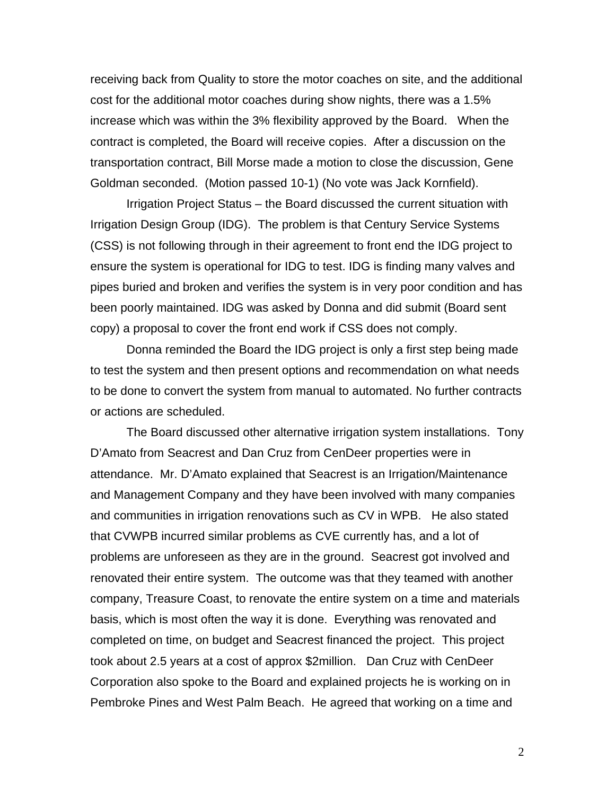receiving back from Quality to store the motor coaches on site, and the additional cost for the additional motor coaches during show nights, there was a 1.5% increase which was within the 3% flexibility approved by the Board. When the contract is completed, the Board will receive copies. After a discussion on the transportation contract, Bill Morse made a motion to close the discussion, Gene Goldman seconded. (Motion passed 10-1) (No vote was Jack Kornfield).

Irrigation Project Status – the Board discussed the current situation with Irrigation Design Group (IDG). The problem is that Century Service Systems (CSS) is not following through in their agreement to front end the IDG project to ensure the system is operational for IDG to test. IDG is finding many valves and pipes buried and broken and verifies the system is in very poor condition and has been poorly maintained. IDG was asked by Donna and did submit (Board sent copy) a proposal to cover the front end work if CSS does not comply.

Donna reminded the Board the IDG project is only a first step being made to test the system and then present options and recommendation on what needs to be done to convert the system from manual to automated. No further contracts or actions are scheduled.

The Board discussed other alternative irrigation system installations. Tony D'Amato from Seacrest and Dan Cruz from CenDeer properties were in attendance. Mr. D'Amato explained that Seacrest is an Irrigation/Maintenance and Management Company and they have been involved with many companies and communities in irrigation renovations such as CV in WPB. He also stated that CVWPB incurred similar problems as CVE currently has, and a lot of problems are unforeseen as they are in the ground. Seacrest got involved and renovated their entire system. The outcome was that they teamed with another company, Treasure Coast, to renovate the entire system on a time and materials basis, which is most often the way it is done. Everything was renovated and completed on time, on budget and Seacrest financed the project. This project took about 2.5 years at a cost of approx \$2million. Dan Cruz with CenDeer Corporation also spoke to the Board and explained projects he is working on in Pembroke Pines and West Palm Beach. He agreed that working on a time and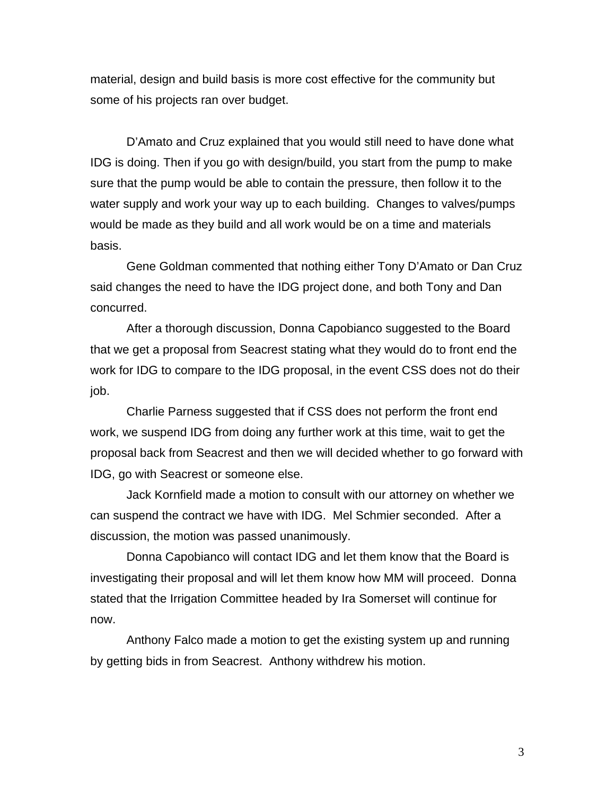material, design and build basis is more cost effective for the community but some of his projects ran over budget.

D'Amato and Cruz explained that you would still need to have done what IDG is doing. Then if you go with design/build, you start from the pump to make sure that the pump would be able to contain the pressure, then follow it to the water supply and work your way up to each building. Changes to valves/pumps would be made as they build and all work would be on a time and materials basis.

Gene Goldman commented that nothing either Tony D'Amato or Dan Cruz said changes the need to have the IDG project done, and both Tony and Dan concurred.

After a thorough discussion, Donna Capobianco suggested to the Board that we get a proposal from Seacrest stating what they would do to front end the work for IDG to compare to the IDG proposal, in the event CSS does not do their job.

Charlie Parness suggested that if CSS does not perform the front end work, we suspend IDG from doing any further work at this time, wait to get the proposal back from Seacrest and then we will decided whether to go forward with IDG, go with Seacrest or someone else.

Jack Kornfield made a motion to consult with our attorney on whether we can suspend the contract we have with IDG. Mel Schmier seconded. After a discussion, the motion was passed unanimously.

Donna Capobianco will contact IDG and let them know that the Board is investigating their proposal and will let them know how MM will proceed. Donna stated that the Irrigation Committee headed by Ira Somerset will continue for now.

Anthony Falco made a motion to get the existing system up and running by getting bids in from Seacrest. Anthony withdrew his motion.

3